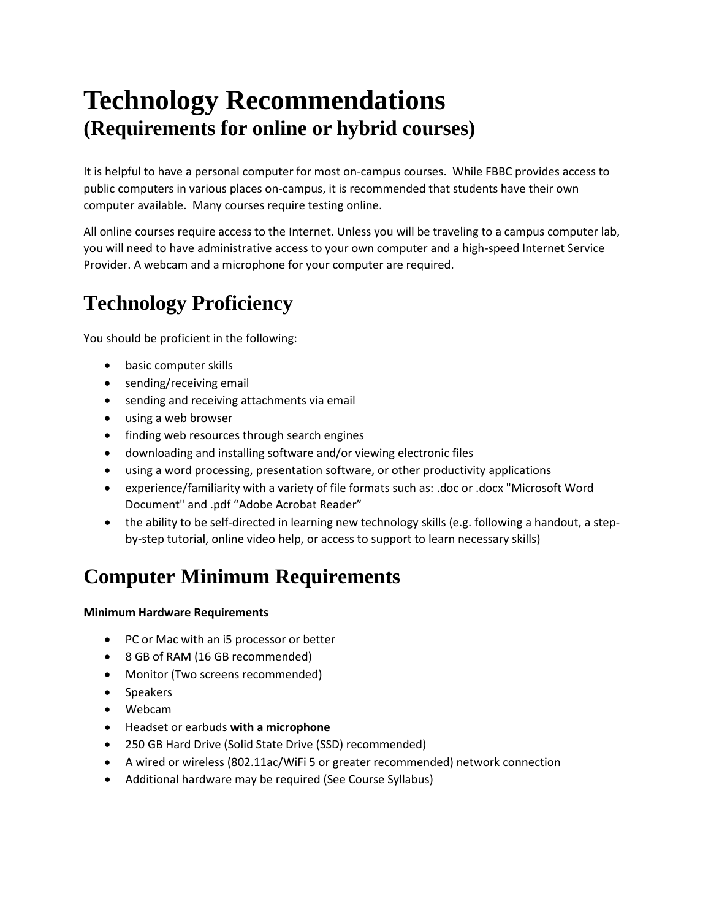# **Technology Recommendations (Requirements for online or hybrid courses)**

It is helpful to have a personal computer for most on-campus courses. While FBBC provides access to public computers in various places on-campus, it is recommended that students have their own computer available. Many courses require testing online.

All online courses require access to the Internet. Unless you will be traveling to a campus computer lab, you will need to have administrative access to your own computer and a high-speed Internet Service Provider. A webcam and a microphone for your computer are required.

# **Technology Proficiency**

You should be proficient in the following:

- basic computer skills
- sending/receiving email
- sending and receiving attachments via email
- using a web browser
- finding web resources through search engines
- downloading and installing software and/or viewing electronic files
- using a word processing, presentation software, or other productivity applications
- experience/familiarity with a variety of file formats such as: .doc or .docx "Microsoft Word Document" and .pdf "Adobe Acrobat Reader"
- the ability to be self-directed in learning new technology skills (e.g. following a handout, a stepby-step tutorial, online video help, or access to support to learn necessary skills)

# **Computer Minimum Requirements**

### **Minimum Hardware Requirements**

- PC or Mac with an i5 processor or better
- 8 GB of RAM (16 GB recommended)
- Monitor (Two screens recommended)
- Speakers
- Webcam
- Headset or earbuds **with a microphone**
- 250 GB Hard Drive (Solid State Drive (SSD) recommended)
- A wired or wireless (802.11ac/WiFi 5 or greater recommended) network connection
- Additional hardware may be required (See Course Syllabus)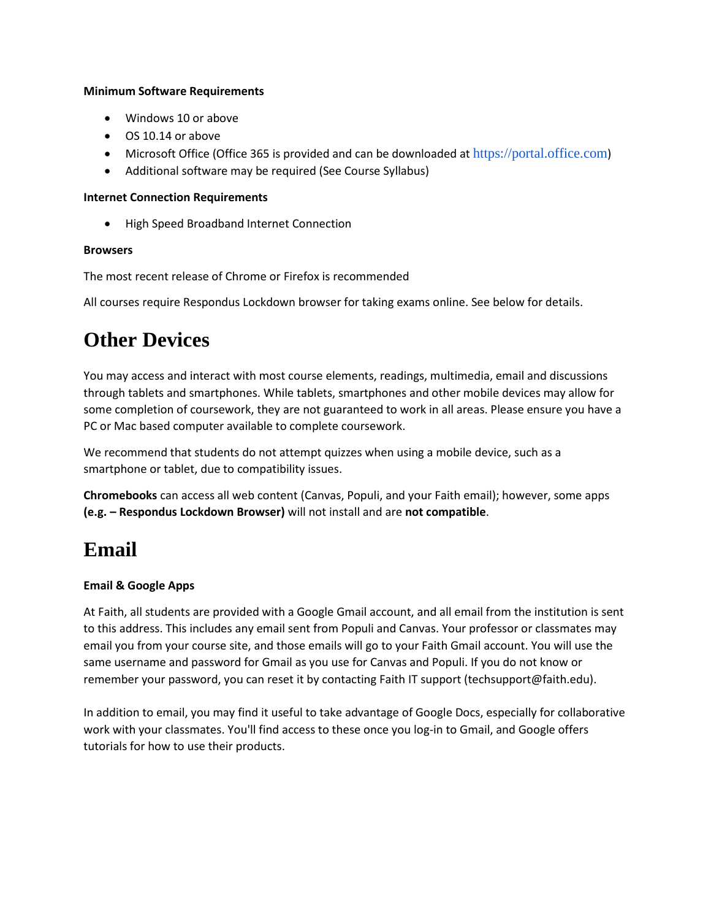#### **Minimum Software Requirements**

- Windows 10 or above
- OS 10.14 or above
- Microsoft Office (Office 365 is provided and can be downloaded at [https://portal.office.com](https://portal.office.com/))
- Additional software may be required (See Course Syllabus)

#### **Internet Connection Requirements**

• High Speed Broadband Internet Connection

### **Browsers**

The most recent release of Chrome or Firefox is recommended

All courses require Respondus Lockdown browser for taking exams online. See below for details.

### **Other Devices**

You may access and interact with most course elements, readings, multimedia, email and discussions through tablets and smartphones. While tablets, smartphones and other mobile devices may allow for some completion of coursework, they are not guaranteed to work in all areas. Please ensure you have a PC or Mac based computer available to complete coursework.

We recommend that students do not attempt quizzes when using a mobile device, such as a smartphone or tablet, due to compatibility issues.

**Chromebooks** can access all web content (Canvas, Populi, and your Faith email); however, some apps **(e.g. – Respondus Lockdown Browser)** will not install and are **not compatible**.

### **Email**

### **Email & Google Apps**

At Faith, all students are provided with a Google Gmail account, and all email from the institution is sent to this address. This includes any email sent from Populi and Canvas. Your professor or classmates may email you from your course site, and those emails will go to your Faith Gmail account. You will use the same username and password for Gmail as you use for Canvas and Populi. If you do not know or remember your password, you can reset it by contacting Faith IT support (techsupport@faith.edu).

In addition to email, you may find it useful to take advantage of Google Docs, especially for collaborative work with your classmates. You'll find access to these once you log-in to Gmail, and Google offers tutorials for how to use their products.